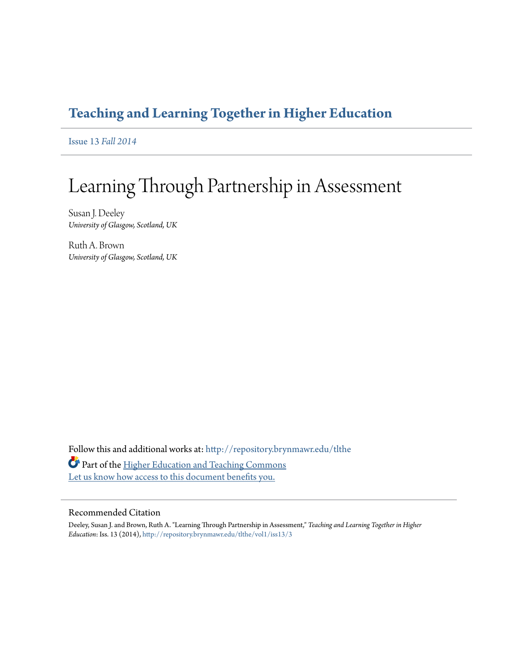# **[Teaching and Learning Together in Higher Education](http://repository.brynmawr.edu/tlthe?utm_source=repository.brynmawr.edu%2Ftlthe%2Fvol1%2Fiss13%2F3&utm_medium=PDF&utm_campaign=PDFCoverPages)**

Issue 13 *[Fall 2014](http://repository.brynmawr.edu/tlthe/vol1/iss13?utm_source=repository.brynmawr.edu%2Ftlthe%2Fvol1%2Fiss13%2F3&utm_medium=PDF&utm_campaign=PDFCoverPages)*

# Learning Through Partnership in Assessment

Susan J. Deeley *University of Glasgow, Scotland, UK*

Ruth A. Brown *University of Glasgow, Scotland, UK*

Follow this and additional works at: [http://repository.brynmawr.edu/tlthe](http://repository.brynmawr.edu/tlthe?utm_source=repository.brynmawr.edu%2Ftlthe%2Fvol1%2Fiss13%2F3&utm_medium=PDF&utm_campaign=PDFCoverPages) Part of the [Higher Education and Teaching Commons](http://network.bepress.com/hgg/discipline/806?utm_source=repository.brynmawr.edu%2Ftlthe%2Fvol1%2Fiss13%2F3&utm_medium=PDF&utm_campaign=PDFCoverPages) [Let us know how access to this document benefits you.](http://repository.brynmawr.edu/open-access-feedback.html)

#### Recommended Citation

Deeley, Susan J. and Brown, Ruth A. "Learning Through Partnership in Assessment," *Teaching and Learning Together in Higher Education*: Iss. 13 (2014), [http://repository.brynmawr.edu/tlthe/vol1/iss13/3](http://repository.brynmawr.edu/tlthe/vol1/iss13/3?utm_source=repository.brynmawr.edu%2Ftlthe%2Fvol1%2Fiss13%2F3&utm_medium=PDF&utm_campaign=PDFCoverPages)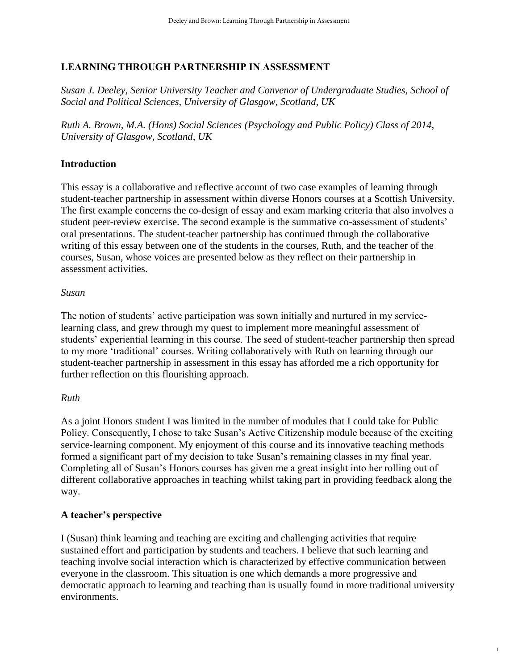# **LEARNING THROUGH PARTNERSHIP IN ASSESSMENT**

*Susan J. Deeley, Senior University Teacher and Convenor of Undergraduate Studies, School of Social and Political Sciences, University of Glasgow, Scotland, UK*

*Ruth A. Brown, M.A. (Hons) Social Sciences (Psychology and Public Policy) Class of 2014, University of Glasgow, Scotland, UK*

### **Introduction**

This essay is a collaborative and reflective account of two case examples of learning through student-teacher partnership in assessment within diverse Honors courses at a Scottish University. The first example concerns the co-design of essay and exam marking criteria that also involves a student peer-review exercise. The second example is the summative co-assessment of students' oral presentations. The student-teacher partnership has continued through the collaborative writing of this essay between one of the students in the courses, Ruth, and the teacher of the courses, Susan, whose voices are presented below as they reflect on their partnership in assessment activities.

#### *Susan*

The notion of students' active participation was sown initially and nurtured in my servicelearning class, and grew through my quest to implement more meaningful assessment of students' experiential learning in this course. The seed of student-teacher partnership then spread to my more 'traditional' courses. Writing collaboratively with Ruth on learning through our student-teacher partnership in assessment in this essay has afforded me a rich opportunity for further reflection on this flourishing approach.

#### *Ruth*

As a joint Honors student I was limited in the number of modules that I could take for Public Policy. Consequently, I chose to take Susan's Active Citizenship module because of the exciting service-learning component. My enjoyment of this course and its innovative teaching methods formed a significant part of my decision to take Susan's remaining classes in my final year. Completing all of Susan's Honors courses has given me a great insight into her rolling out of different collaborative approaches in teaching whilst taking part in providing feedback along the way.

# **A teacher's perspective**

I (Susan) think learning and teaching are exciting and challenging activities that require sustained effort and participation by students and teachers. I believe that such learning and teaching involve social interaction which is characterized by effective communication between everyone in the classroom. This situation is one which demands a more progressive and democratic approach to learning and teaching than is usually found in more traditional university environments.

1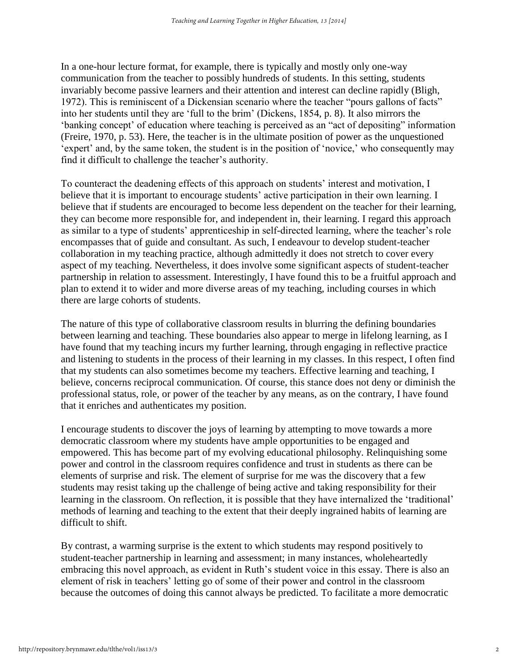In a one-hour lecture format, for example, there is typically and mostly only one-way communication from the teacher to possibly hundreds of students. In this setting, students invariably become passive learners and their attention and interest can decline rapidly (Bligh, 1972). This is reminiscent of a Dickensian scenario where the teacher "pours gallons of facts" into her students until they are 'full to the brim' (Dickens, 1854, p. 8). It also mirrors the 'banking concept' of education where teaching is perceived as an "act of depositing" information (Freire, 1970, p. 53). Here, the teacher is in the ultimate position of power as the unquestioned 'expert' and, by the same token, the student is in the position of 'novice,' who consequently may find it difficult to challenge the teacher's authority.

To counteract the deadening effects of this approach on students' interest and motivation, I believe that it is important to encourage students' active participation in their own learning. I believe that if students are encouraged to become less dependent on the teacher for their learning, they can become more responsible for, and independent in, their learning. I regard this approach as similar to a type of students' apprenticeship in self-directed learning, where the teacher's role encompasses that of guide and consultant. As such, I endeavour to develop student-teacher collaboration in my teaching practice, although admittedly it does not stretch to cover every aspect of my teaching. Nevertheless, it does involve some significant aspects of student-teacher partnership in relation to assessment. Interestingly, I have found this to be a fruitful approach and plan to extend it to wider and more diverse areas of my teaching, including courses in which there are large cohorts of students.

The nature of this type of collaborative classroom results in blurring the defining boundaries between learning and teaching. These boundaries also appear to merge in lifelong learning, as I have found that my teaching incurs my further learning, through engaging in reflective practice and listening to students in the process of their learning in my classes. In this respect, I often find that my students can also sometimes become my teachers. Effective learning and teaching, I believe, concerns reciprocal communication. Of course, this stance does not deny or diminish the professional status, role, or power of the teacher by any means, as on the contrary, I have found that it enriches and authenticates my position.

I encourage students to discover the joys of learning by attempting to move towards a more democratic classroom where my students have ample opportunities to be engaged and empowered. This has become part of my evolving educational philosophy. Relinquishing some power and control in the classroom requires confidence and trust in students as there can be elements of surprise and risk. The element of surprise for me was the discovery that a few students may resist taking up the challenge of being active and taking responsibility for their learning in the classroom. On reflection, it is possible that they have internalized the 'traditional' methods of learning and teaching to the extent that their deeply ingrained habits of learning are difficult to shift.

By contrast, a warming surprise is the extent to which students may respond positively to student-teacher partnership in learning and assessment; in many instances, wholeheartedly embracing this novel approach, as evident in Ruth's student voice in this essay. There is also an element of risk in teachers' letting go of some of their power and control in the classroom because the outcomes of doing this cannot always be predicted. To facilitate a more democratic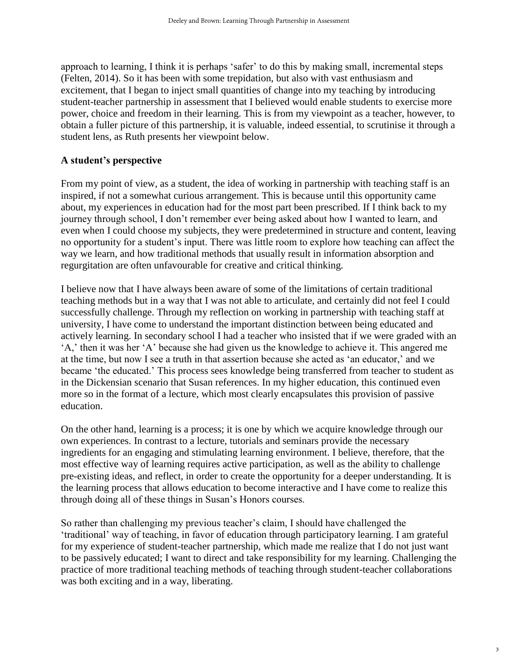approach to learning, I think it is perhaps 'safer' to do this by making small, incremental steps (Felten, 2014). So it has been with some trepidation, but also with vast enthusiasm and excitement, that I began to inject small quantities of change into my teaching by introducing student-teacher partnership in assessment that I believed would enable students to exercise more power, choice and freedom in their learning. This is from my viewpoint as a teacher, however, to obtain a fuller picture of this partnership, it is valuable, indeed essential, to scrutinise it through a student lens, as Ruth presents her viewpoint below.

# **A student's perspective**

From my point of view, as a student, the idea of working in partnership with teaching staff is an inspired, if not a somewhat curious arrangement. This is because until this opportunity came about, my experiences in education had for the most part been prescribed. If I think back to my journey through school, I don't remember ever being asked about how I wanted to learn, and even when I could choose my subjects, they were predetermined in structure and content, leaving no opportunity for a student's input. There was little room to explore how teaching can affect the way we learn, and how traditional methods that usually result in information absorption and regurgitation are often unfavourable for creative and critical thinking.

I believe now that I have always been aware of some of the limitations of certain traditional teaching methods but in a way that I was not able to articulate, and certainly did not feel I could successfully challenge. Through my reflection on working in partnership with teaching staff at university, I have come to understand the important distinction between being educated and actively learning. In secondary school I had a teacher who insisted that if we were graded with an 'A,' then it was her 'A' because she had given us the knowledge to achieve it. This angered me at the time, but now I see a truth in that assertion because she acted as 'an educator,' and we became 'the educated.' This process sees knowledge being transferred from teacher to student as in the Dickensian scenario that Susan references. In my higher education, this continued even more so in the format of a lecture, which most clearly encapsulates this provision of passive education.

On the other hand, learning is a process; it is one by which we acquire knowledge through our own experiences. In contrast to a lecture, tutorials and seminars provide the necessary ingredients for an engaging and stimulating learning environment. I believe, therefore, that the most effective way of learning requires active participation, as well as the ability to challenge pre-existing ideas, and reflect, in order to create the opportunity for a deeper understanding. It is the learning process that allows education to become interactive and I have come to realize this through doing all of these things in Susan's Honors courses.

So rather than challenging my previous teacher's claim, I should have challenged the 'traditional' way of teaching, in favor of education through participatory learning. I am grateful for my experience of student-teacher partnership, which made me realize that I do not just want to be passively educated; I want to direct and take responsibility for my learning. Challenging the practice of more traditional teaching methods of teaching through student-teacher collaborations was both exciting and in a way, liberating.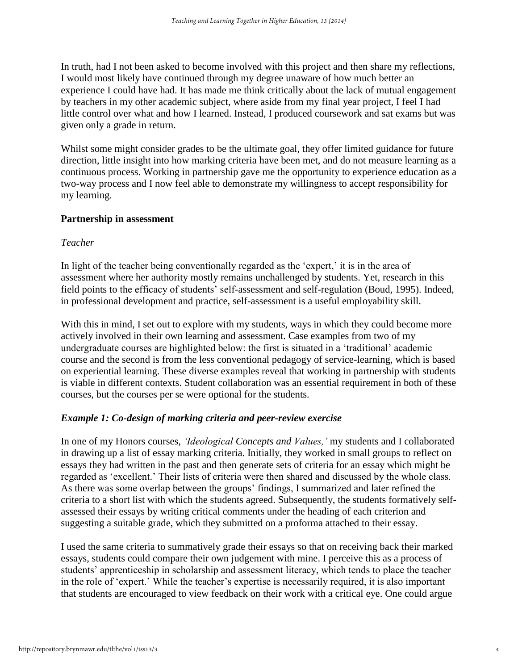In truth, had I not been asked to become involved with this project and then share my reflections, I would most likely have continued through my degree unaware of how much better an experience I could have had. It has made me think critically about the lack of mutual engagement by teachers in my other academic subject, where aside from my final year project, I feel I had little control over what and how I learned. Instead, I produced coursework and sat exams but was given only a grade in return.

Whilst some might consider grades to be the ultimate goal, they offer limited guidance for future direction, little insight into how marking criteria have been met, and do not measure learning as a continuous process. Working in partnership gave me the opportunity to experience education as a two-way process and I now feel able to demonstrate my willingness to accept responsibility for my learning.

# **Partnership in assessment**

# *Teacher*

In light of the teacher being conventionally regarded as the 'expert,' it is in the area of assessment where her authority mostly remains unchallenged by students. Yet, research in this field points to the efficacy of students' self-assessment and self-regulation (Boud, 1995). Indeed, in professional development and practice, self-assessment is a useful employability skill.

With this in mind, I set out to explore with my students, ways in which they could become more actively involved in their own learning and assessment. Case examples from two of my undergraduate courses are highlighted below: the first is situated in a 'traditional' academic course and the second is from the less conventional pedagogy of service-learning, which is based on experiential learning. These diverse examples reveal that working in partnership with students is viable in different contexts. Student collaboration was an essential requirement in both of these courses, but the courses per se were optional for the students.

# *Example 1: Co-design of marking criteria and peer-review exercise*

In one of my Honors courses, *'Ideological Concepts and Values,'* my students and I collaborated in drawing up a list of essay marking criteria. Initially, they worked in small groups to reflect on essays they had written in the past and then generate sets of criteria for an essay which might be regarded as 'excellent.' Their lists of criteria were then shared and discussed by the whole class. As there was some overlap between the groups' findings, I summarized and later refined the criteria to a short list with which the students agreed. Subsequently, the students formatively selfassessed their essays by writing critical comments under the heading of each criterion and suggesting a suitable grade, which they submitted on a proforma attached to their essay.

I used the same criteria to summatively grade their essays so that on receiving back their marked essays, students could compare their own judgement with mine. I perceive this as a process of students' apprenticeship in scholarship and assessment literacy, which tends to place the teacher in the role of 'expert.' While the teacher's expertise is necessarily required, it is also important that students are encouraged to view feedback on their work with a critical eye. One could argue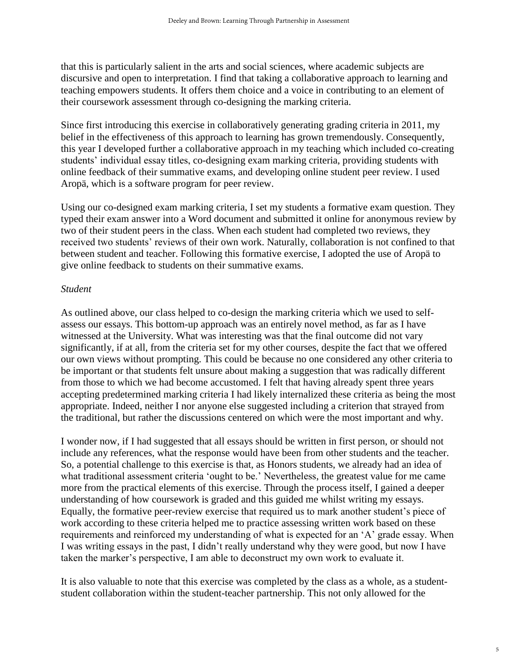that this is particularly salient in the arts and social sciences, where academic subjects are discursive and open to interpretation. I find that taking a collaborative approach to learning and teaching empowers students. It offers them choice and a voice in contributing to an element of their coursework assessment through co-designing the marking criteria.

Since first introducing this exercise in collaboratively generating grading criteria in 2011, my belief in the effectiveness of this approach to learning has grown tremendously. Consequently, this year I developed further a collaborative approach in my teaching which included co-creating students' individual essay titles, co-designing exam marking criteria, providing students with online feedback of their summative exams, and developing online student peer review. I used Aropä, which is a software program for peer review.

Using our co-designed exam marking criteria, I set my students a formative exam question. They typed their exam answer into a Word document and submitted it online for anonymous review by two of their student peers in the class. When each student had completed two reviews, they received two students' reviews of their own work. Naturally, collaboration is not confined to that between student and teacher. Following this formative exercise, I adopted the use of Aropä to give online feedback to students on their summative exams.

#### *Student*

As outlined above, our class helped to co-design the marking criteria which we used to selfassess our essays. This bottom-up approach was an entirely novel method, as far as I have witnessed at the University. What was interesting was that the final outcome did not vary significantly, if at all, from the criteria set for my other courses, despite the fact that we offered our own views without prompting. This could be because no one considered any other criteria to be important or that students felt unsure about making a suggestion that was radically different from those to which we had become accustomed. I felt that having already spent three years accepting predetermined marking criteria I had likely internalized these criteria as being the most appropriate. Indeed, neither I nor anyone else suggested including a criterion that strayed from the traditional, but rather the discussions centered on which were the most important and why.

I wonder now, if I had suggested that all essays should be written in first person, or should not include any references, what the response would have been from other students and the teacher. So, a potential challenge to this exercise is that, as Honors students, we already had an idea of what traditional assessment criteria 'ought to be.' Nevertheless, the greatest value for me came more from the practical elements of this exercise. Through the process itself, I gained a deeper understanding of how coursework is graded and this guided me whilst writing my essays. Equally, the formative peer-review exercise that required us to mark another student's piece of work according to these criteria helped me to practice assessing written work based on these requirements and reinforced my understanding of what is expected for an 'A' grade essay. When I was writing essays in the past, I didn't really understand why they were good, but now I have taken the marker's perspective, I am able to deconstruct my own work to evaluate it.

It is also valuable to note that this exercise was completed by the class as a whole, as a studentstudent collaboration within the student-teacher partnership. This not only allowed for the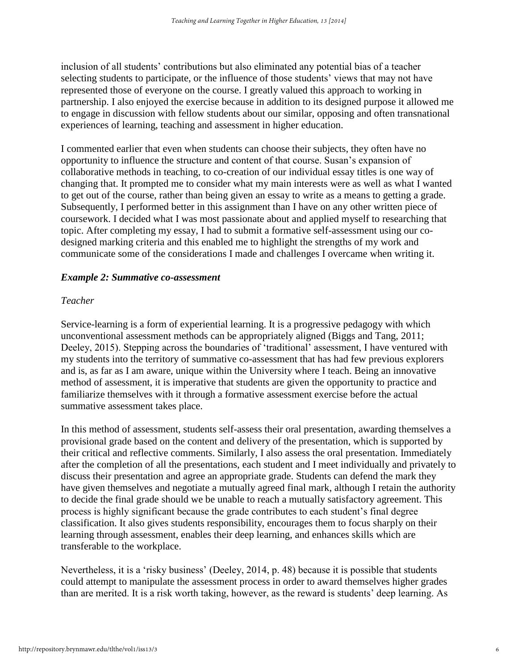inclusion of all students' contributions but also eliminated any potential bias of a teacher selecting students to participate, or the influence of those students' views that may not have represented those of everyone on the course. I greatly valued this approach to working in partnership. I also enjoyed the exercise because in addition to its designed purpose it allowed me to engage in discussion with fellow students about our similar, opposing and often transnational experiences of learning, teaching and assessment in higher education.

I commented earlier that even when students can choose their subjects, they often have no opportunity to influence the structure and content of that course. Susan's expansion of collaborative methods in teaching, to co-creation of our individual essay titles is one way of changing that. It prompted me to consider what my main interests were as well as what I wanted to get out of the course, rather than being given an essay to write as a means to getting a grade. Subsequently, I performed better in this assignment than I have on any other written piece of coursework. I decided what I was most passionate about and applied myself to researching that topic. After completing my essay, I had to submit a formative self-assessment using our codesigned marking criteria and this enabled me to highlight the strengths of my work and communicate some of the considerations I made and challenges I overcame when writing it.

# *Example 2: Summative co-assessment*

#### *Teacher*

Service-learning is a form of experiential learning. It is a progressive pedagogy with which unconventional assessment methods can be appropriately aligned (Biggs and Tang, 2011; Deeley, 2015). Stepping across the boundaries of 'traditional' assessment, I have ventured with my students into the territory of summative co-assessment that has had few previous explorers and is, as far as I am aware, unique within the University where I teach. Being an innovative method of assessment, it is imperative that students are given the opportunity to practice and familiarize themselves with it through a formative assessment exercise before the actual summative assessment takes place.

In this method of assessment, students self-assess their oral presentation, awarding themselves a provisional grade based on the content and delivery of the presentation, which is supported by their critical and reflective comments. Similarly, I also assess the oral presentation. Immediately after the completion of all the presentations, each student and I meet individually and privately to discuss their presentation and agree an appropriate grade. Students can defend the mark they have given themselves and negotiate a mutually agreed final mark, although I retain the authority to decide the final grade should we be unable to reach a mutually satisfactory agreement. This process is highly significant because the grade contributes to each student's final degree classification. It also gives students responsibility, encourages them to focus sharply on their learning through assessment, enables their deep learning, and enhances skills which are transferable to the workplace.

Nevertheless, it is a 'risky business' (Deeley, 2014, p. 48) because it is possible that students could attempt to manipulate the assessment process in order to award themselves higher grades than are merited. It is a risk worth taking, however, as the reward is students' deep learning. As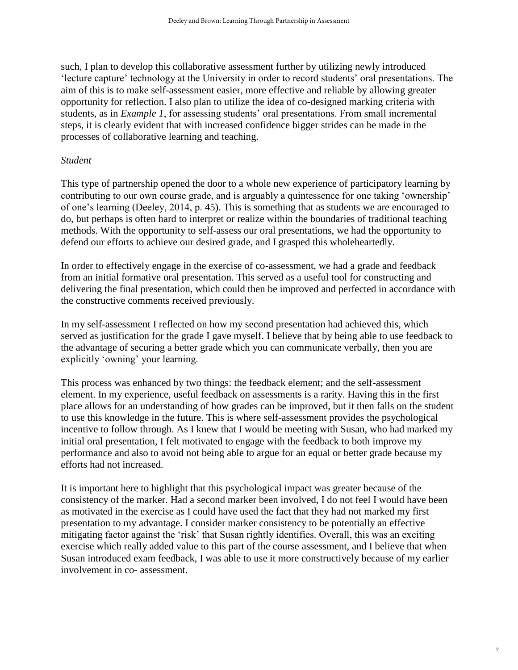such, I plan to develop this collaborative assessment further by utilizing newly introduced 'lecture capture' technology at the University in order to record students' oral presentations. The aim of this is to make self-assessment easier, more effective and reliable by allowing greater opportunity for reflection. I also plan to utilize the idea of co-designed marking criteria with students, as in *Example 1*, for assessing students' oral presentations. From small incremental steps, it is clearly evident that with increased confidence bigger strides can be made in the processes of collaborative learning and teaching.

#### *Student*

This type of partnership opened the door to a whole new experience of participatory learning by contributing to our own course grade, and is arguably a quintessence for one taking 'ownership' of one's learning (Deeley, 2014, p. 45). This is something that as students we are encouraged to do, but perhaps is often hard to interpret or realize within the boundaries of traditional teaching methods. With the opportunity to self-assess our oral presentations, we had the opportunity to defend our efforts to achieve our desired grade, and I grasped this wholeheartedly.

In order to effectively engage in the exercise of co-assessment, we had a grade and feedback from an initial formative oral presentation. This served as a useful tool for constructing and delivering the final presentation, which could then be improved and perfected in accordance with the constructive comments received previously.

In my self-assessment I reflected on how my second presentation had achieved this, which served as justification for the grade I gave myself. I believe that by being able to use feedback to the advantage of securing a better grade which you can communicate verbally, then you are explicitly 'owning' your learning.

This process was enhanced by two things: the feedback element; and the self-assessment element. In my experience, useful feedback on assessments is a rarity. Having this in the first place allows for an understanding of how grades can be improved, but it then falls on the student to use this knowledge in the future. This is where self-assessment provides the psychological incentive to follow through. As I knew that I would be meeting with Susan, who had marked my initial oral presentation, I felt motivated to engage with the feedback to both improve my performance and also to avoid not being able to argue for an equal or better grade because my efforts had not increased.

It is important here to highlight that this psychological impact was greater because of the consistency of the marker. Had a second marker been involved, I do not feel I would have been as motivated in the exercise as I could have used the fact that they had not marked my first presentation to my advantage. I consider marker consistency to be potentially an effective mitigating factor against the 'risk' that Susan rightly identifies. Overall, this was an exciting exercise which really added value to this part of the course assessment, and I believe that when Susan introduced exam feedback, I was able to use it more constructively because of my earlier involvement in co- assessment.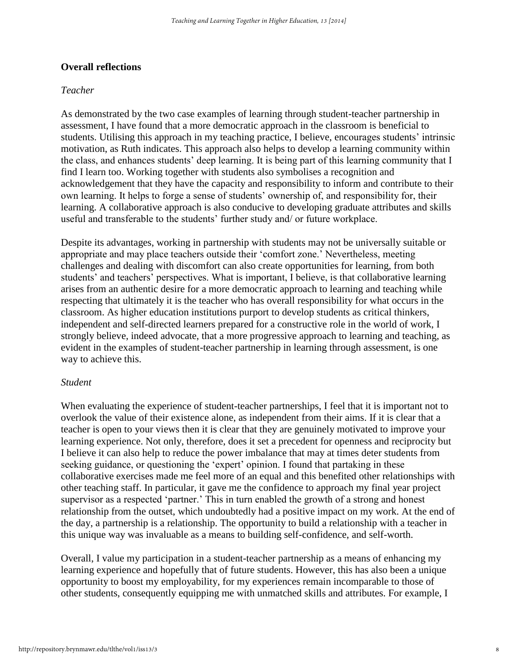#### **Overall reflections**

#### *Teacher*

As demonstrated by the two case examples of learning through student-teacher partnership in assessment, I have found that a more democratic approach in the classroom is beneficial to students. Utilising this approach in my teaching practice, I believe, encourages students' intrinsic motivation, as Ruth indicates. This approach also helps to develop a learning community within the class, and enhances students' deep learning. It is being part of this learning community that I find I learn too. Working together with students also symbolises a recognition and acknowledgement that they have the capacity and responsibility to inform and contribute to their own learning. It helps to forge a sense of students' ownership of, and responsibility for, their learning. A collaborative approach is also conducive to developing graduate attributes and skills useful and transferable to the students' further study and/ or future workplace.

Despite its advantages, working in partnership with students may not be universally suitable or appropriate and may place teachers outside their 'comfort zone.' Nevertheless, meeting challenges and dealing with discomfort can also create opportunities for learning, from both students' and teachers' perspectives. What is important, I believe, is that collaborative learning arises from an authentic desire for a more democratic approach to learning and teaching while respecting that ultimately it is the teacher who has overall responsibility for what occurs in the classroom. As higher education institutions purport to develop students as critical thinkers, independent and self-directed learners prepared for a constructive role in the world of work, I strongly believe, indeed advocate, that a more progressive approach to learning and teaching, as evident in the examples of student-teacher partnership in learning through assessment, is one way to achieve this.

#### *Student*

When evaluating the experience of student-teacher partnerships, I feel that it is important not to overlook the value of their existence alone, as independent from their aims. If it is clear that a teacher is open to your views then it is clear that they are genuinely motivated to improve your learning experience. Not only, therefore, does it set a precedent for openness and reciprocity but I believe it can also help to reduce the power imbalance that may at times deter students from seeking guidance, or questioning the 'expert' opinion. I found that partaking in these collaborative exercises made me feel more of an equal and this benefited other relationships with other teaching staff. In particular, it gave me the confidence to approach my final year project supervisor as a respected 'partner.' This in turn enabled the growth of a strong and honest relationship from the outset, which undoubtedly had a positive impact on my work. At the end of the day, a partnership is a relationship. The opportunity to build a relationship with a teacher in this unique way was invaluable as a means to building self-confidence, and self-worth.

Overall, I value my participation in a student-teacher partnership as a means of enhancing my learning experience and hopefully that of future students. However, this has also been a unique opportunity to boost my employability, for my experiences remain incomparable to those of other students, consequently equipping me with unmatched skills and attributes. For example, I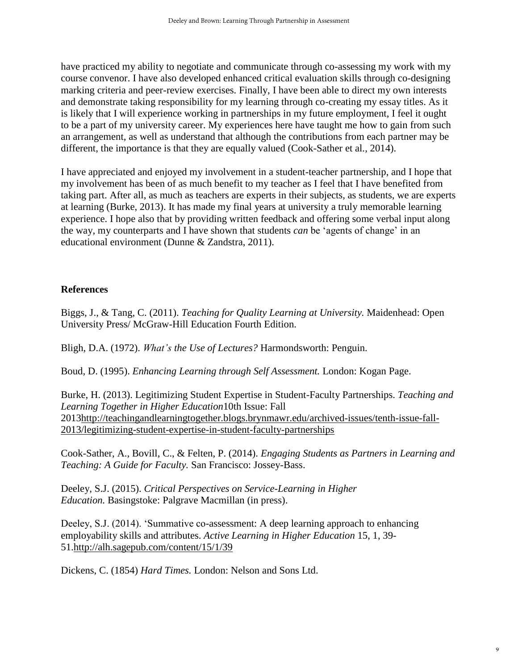have practiced my ability to negotiate and communicate through co-assessing my work with my course convenor. I have also developed enhanced critical evaluation skills through co-designing marking criteria and peer-review exercises. Finally, I have been able to direct my own interests and demonstrate taking responsibility for my learning through co-creating my essay titles. As it is likely that I will experience working in partnerships in my future employment, I feel it ought to be a part of my university career. My experiences here have taught me how to gain from such an arrangement, as well as understand that although the contributions from each partner may be different, the importance is that they are equally valued (Cook-Sather et al., 2014).

I have appreciated and enjoyed my involvement in a student-teacher partnership, and I hope that my involvement has been of as much benefit to my teacher as I feel that I have benefited from taking part. After all, as much as teachers are experts in their subjects, as students, we are experts at learning (Burke, 2013). It has made my final years at university a truly memorable learning experience. I hope also that by providing written feedback and offering some verbal input along the way, my counterparts and I have shown that students *can* be 'agents of change' in an educational environment (Dunne & Zandstra, 2011).

# **References**

Biggs, J., & Tang, C. (2011). *Teaching for Quality Learning at University.* Maidenhead: Open University Press/ McGraw-Hill Education Fourth Edition.

Bligh, D.A. (1972). *What's the Use of Lectures?* Harmondsworth: Penguin.

Boud, D. (1995). *Enhancing Learning through Self Assessment.* London: Kogan Page.

Burke, H. (2013). Legitimizing Student Expertise in Student-Faculty Partnerships. *Teaching and Learning Together in Higher Education*10th Issue: Fall 201[3http://teachingandlearningtogether.blogs.brynmawr.edu/archived-issues/tenth-issue-fall-](http://teachingandlearningtogether.blogs.brynmawr.edu/archived-issues/tenth-issue-fall-2013/legitimizing-student-expertise-in-student-faculty-partnerships)[2013/legitimizing-student-expertise-in-student-faculty-partnerships](http://teachingandlearningtogether.blogs.brynmawr.edu/archived-issues/tenth-issue-fall-2013/legitimizing-student-expertise-in-student-faculty-partnerships)

Cook-Sather, A., Bovill, C., & Felten, P. (2014). *Engaging Students as Partners in Learning and Teaching: A Guide for Faculty.* San Francisco: Jossey-Bass.

Deeley, S.J. (2015). *Critical Perspectives on Service-Learning in Higher Education.* Basingstoke: Palgrave Macmillan (in press).

Deeley, S.J. (2014). 'Summative co-assessment: A deep learning approach to enhancing employability skills and attributes. *Active Learning in Higher Education* 15, 1, 39- 51[.http://alh.sagepub.com/content/15/1/39](http://alh.sagepub.com/content/15/1/39)

Dickens, C. (1854) *Hard Times.* London: Nelson and Sons Ltd.